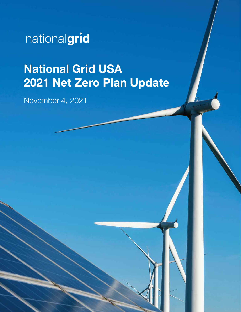nationalgrid

# National Grid USA 2021 Net Zero Plan Update

November 4, 2021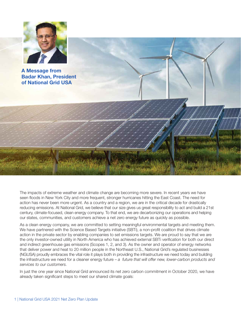

A Message from Badar Khan, President of National Grid USA

The impacts of extreme weather and climate change are becoming more severe. In recent years we have seen floods in New York City and more frequent, stronger hurricanes hitting the East Coast. The need for action has never been more urgent. As a country and a region, we are in the critical decade for drastically reducing emissions. At National Grid, we believe that our size gives us great responsibility to act and build a 21st century, climate-focused, clean energy company. To that end, we are decarbonizing our operations and helping our states, communities, and customers achieve a net zero energy future as quickly as possible.

As a clean energy company, we are committed to setting meaningful environmental targets and meeting them. We have partnered with the Science Based Targets initiative (SBTi), a non-profit coalition that drives climate action in the private sector by enabling companies to set emissions targets. We are proud to say that we are the only investor-owned utility in North America who has achieved external SBTi verification for both our direct and indirect greenhouse gas emissions (Scopes 1, 2, and 3). As the owner and operator of energy networks that deliver power and heat to 20 million people in the Northeast U.S., National Grid's regulated businesses (NGUSA) proudly embraces the vital role it plays both in providing the infrastructure we need today and building the infrastructure we need for a cleaner energy future – *a future that will offer new, lower-carbon products and services to our customers.* 

In just the one year since National Grid announced its net zero carbon commitment in October 2020, we have already taken significant steps to meet our shared climate goals: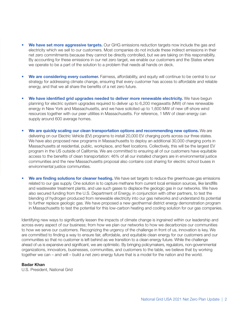- We have set more aggressive targets. Our GHG emissions reduction targets now include the gas and electricity which we sell to our customers. Most companies do not include these indirect emissions in their net zero commitments because they cannot be directly controlled, but we are taking on this responsibility. By accounting for these emissions in our net zero target, we enable our customers and the States where we operate to be a part of the solution to a problem that needs all hands on deck.
- We are considering every customer. Fairness, affordability, and equity will continue to be central to our strategy for addressing climate change, ensuring that every customer has access to affordable and reliable energy, and that we all share the benefits of a net zero future.
- We have identified grid upgrades needed to deliver more renewable electricity. We have begun planning for electric system upgrades required to deliver up to 6,200 megawatts (MW) of new renewable energy in New York and Massachusetts, and we have solicited up to 1,600 MW of new off-shore wind resources together with our peer utilities in Massachusetts. For reference, 1 MW of clean energy can supply around 600 average homes.
- We are quickly scaling our clean transportation options and recommending new options. We are delivering on our Electric Vehicle (EV) programs to install 20,000 EV charging ports across our three states. We have also proposed new programs in Massachusetts to deploy an additional 30,000 charging ports in Massachusetts at residential, public, workplace, and fleet locations. Collectively, this will be the largest EV program in the US outside of California. We are committed to ensuring all of our customers have equitable access to the benefits of clean transportation: 46% of all our installed chargers are in environmental justice communities and the new Massachusetts proposal also contains cost sharing for electric school buses in environmental justice communities.
- We are finding solutions for cleaner heating. We have set targets to reduce the greenhouse gas emissions related to our gas supply. One solution is to capture methane from current local emission sources, like landfills and wastewater treatment plants, and use such gases to displace the geologic gas in our networks. We have also secured funding from the U.S. Department of Energy, in conjunction with other partners, to test the blending of hydrogen produced from renewable electricity into our gas networks and understand its potential to further replace geologic gas. We have proposed a new geothermal district energy demonstration program in Massachusetts to test the potential for this low-carbon heating and cooling solution for our gas companies.

Identifying new ways to significantly lessen the impacts of climate change is ingrained within our leadership and across every aspect of our business; from how we plan our networks to how we decarbonize our communities to how we serve our customers. Recognizing the urgency of the challenge in front of us, innovation is key. We are committed to finding a way to ensure fair, affordable, and equitable clean energy for our customers and our communities so that no customer is left behind as we transition to a clean energy future. While the challenge ahead of us is expansive and significant, we are optimistic. By bringing policymakers, regulators, non-governmental organizations, innovators, businesses, communities, and customers to the table, we believe that by working together we can – and will – build a net zero energy future that is a model for the nation and the world.

#### Badar Khan

U.S. President, National Grid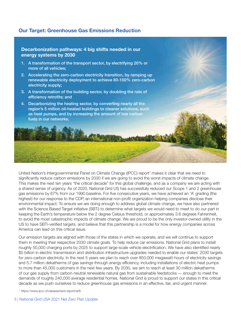# Our Target: Greenhouse Gas Emissions Reduction



United Nation's Intergovernmental Panel on Climate Change (IPCC) report<sup>1</sup> makes it clear that we need to significantly reduce carbon emissions by 2030 if we are going to avoid the worst impacts of climate change. This makes the next ten years "the critical decade" for this global challenge, and as a company we are acting with a shared sense of urgency. As of 2020, National Grid US has successfully reduced our Scope 1 and 2 greenhouse gas emissions by 67% from our 1990 baseline. For five consecutive years, we have achieved an 'A' grading (the highest) for our response to the CDP, an international non-profit organization helping companies disclose their environmental impact. To ensure we are doing enough to address global climate change, we have also partnered with the Science Based Target initiative (SBTi) to determine what targets we would need to meet to do our part in keeping the Earth's temperature below the 2 degree Celsius threshold, or approximately 3.6 degrees Fahrenheit, to avoid the most catastrophic impacts of climate change. We are proud to be the only investor-owned utility in the US to have SBTi-verified targets. and believe that this partnership is a model for how energy companies across America can lead on this critical issue.

Our emission targets are aligned with those of the states in which we operate, and we will continue to support them in meeting their respective 2030 climate goals. To help reduce car emissions, National Grid plans to install roughly 50,000 charging ports by 2025 to support large-scale vehicle electrification. We have also identified nearly \$5 billion in electric transmission and distribution infrastructure upgrades needed to enable our states' 2030 targets for zero-carbon electricity. In the next 5 years we plan to reach over 850,000 megawatt-hours of electricity savings and 5.7 million dekatherms of gas savings through energy efficiency, including installations of electric heat pumps to more than 45,000 customers in the next few years. By 2030, we aim to reach at least 30 million dekatherms of our gas supply from carbon-neutral renewable natural gas from sustainable feedstocks — enough to meet the demands of roughly 240,000 average residential homes. National Grid is proud to support our states in this critical decade as we push ourselves to reduce greenhouse gas emissions in an effective, fair, and urgent manner.

1 https://www.ipcc.ch/assessment-report/ar6/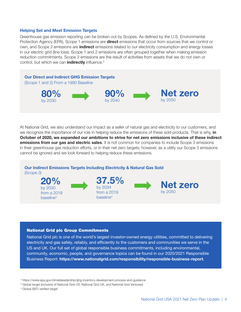#### Helping Set and Meet Emission Targets

Greenhouse gas emission reporting can be broken out by Scopes. As defined by the U.S. Environmental Protection Agency (EPA), Scope 1 emissions are **direct** emissions that occur from sources that we control or own, and Scope 2 emissions are **indirect** emissions related to our electricity consumption and energy losses in our electric grid (line loss). Scope 1 and 2 emissions are often grouped together when making emission reduction commitments. Scope 3 emissions are the result of activities from assets that we do not own or control, but which we can *indirectly* influence.<sup>2</sup>



At National Grid, we also understand our impact as a seller of natural gas and electricity to our customers, and we recognize the importance of our role in helping reduce the emissions of these sold products. That is why, in October of 2020, we expanded our ambitions to strive for net zero emissions inclusive of these indirect emissions from our gas and electric sales. It is not common for companies to include Scope 3 emissions in their greenhouse gas reduction efforts, or in their net zero targets; however, as a utility our Scope 3 emissions cannot be ignored and we look forward to helping reduce these emissions.

 Our Indirect Emissions Targets Including Electricity & Natural Gas Sold (Scope 3) 20% 37.5% by 2034 Net zero

> from a 2019 baseline4

#### National Grid plc Group Commitments

by 2030 from a 2018 baseline<sup>3</sup>

National Grid plc is one of the world's largest investor-owned energy utilities, committed to delivering electricity and gas safely, reliably, and efficiently to the customers and communities we serve in the US and UK. Our full set of global responsible business commitments, including environmental, community, economic, people, and governance topics can be found in our 2020/2021 Responsible Business Report: https://www.nationalgrid.com/responsibility/responsible-business-report.

2 https://www.epa.gov/climateleadership/ghg-inventory-development-process-and-guidance

- 3 Global target (inclusive of National Grid US, National Grid UK, and National Grid Ventures)
- 4 Global SBTi verified target

by 2050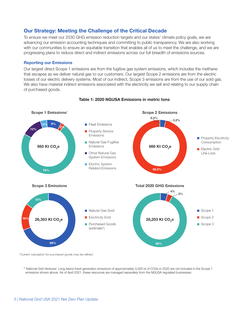# Our Strategy: Meeting the Challenge of the Critical Decade

To ensure we meet our 2030 GHG emission reduction targets and our states' climate policy goals, we are advancing our emission accounting techniques and committing to public transparency. We are also working with our communities to ensure an equitable transition that enables all of us to meet the challenge, and we are progressing plans to reduce direct and indirect emissions across our full breadth of emissions sources.

#### Reporting our Emissions

Our largest direct Scope 1 emissions are from the fugitive gas system emissions, which includes the methane that escapes as we deliver natural gas to our customers. Our largest Scope 2 emissions are from the electric losses of our electric delivery systems. Most of our indirect, Scope 3 emissions are from the use of our sold gas. We also have material indirect emissions associated with the electricity we sell and relating to our supply chain of purchased goods.



#### Table 1: 2020 NGUSA Emissions in metric tons

\*Current calculation for purchased goods may be refined

<sup>5</sup> National Grid Ventures' Long Island fossil generation emissions of approximately 3,000 kt of CO2e in 2020 are not included in the Scope 1 emissions shown above. As of April 2021, these resources are managed separately from the NGUSA regulated businesses.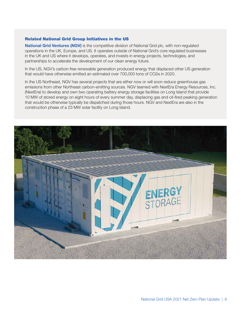## Related National Grid Group Initiatives in the US

National Grid Ventures (NGV) is the competitive division of National Grid plc, with non-regulated operations in the UK, Europe, and US. It operates outside of National Grid's core regulated businesses in the UK and US where it develops, operates, and invests in energy projects, technologies, and partnerships to accelerate the development of our clean energy future.

In the US, NGV's carbon-free renewable generation produced energy that displaced other US generation that would have otherwise emitted an estimated over 700,000 tons of CO2e in 2020.

In the US Northeast, NGV has several projects that are either now or will soon reduce greenhouse gas emissions from other Northeast carbon-emitting sources. NGV teamed with NextEra Energy Resources, Inc. (NextEra) to develop and own two operating battery energy storage facilities on Long Island that provide 10 MW of stored energy on eight hours of every summer day, displacing gas and oil-fired peaking generation that would be otherwise typically be dispatched during those hours. NGV and NextEra are also in the construction phase of a 23 MW solar facility on Long Island.

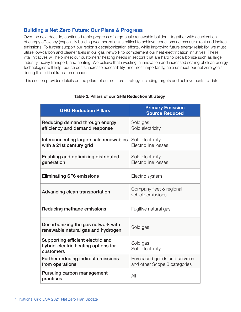# Building a Net Zero Future: Our Plans & Progress

Over the next decade, continued rapid progress of large-scale renewable buildout, together with acceleration of energy efficiency (especially building weatherization) is critical to achieve reductions across our direct and indirect emissions. To further support our region's decarbonization efforts, while improving future energy reliability, we must utilize low-carbon and cleaner fuels in our gas network to complement our heat electrification initiatives. These vital initiatives will help meet our customers' heating needs in sectors that are hard to decarbonize such as large industry, heavy transport, and heating. We believe that investing in innovation and increased scaling of clean energy technologies will help reduce costs, increase accessibility, and most importantly, help us meet our net zero goals during this critical transition decade.

This section provides details on the pillars of our net zero strategy, including targets and achievements to-date.

| <b>GHG Reduction Pillars</b>                                                          | <b>Primary Emission</b><br><b>Source Reduced</b>             |
|---------------------------------------------------------------------------------------|--------------------------------------------------------------|
| Reducing demand through energy<br>efficiency and demand response                      | Sold gas<br>Sold electricity                                 |
| Interconnecting large-scale renewables<br>with a 21st century grid                    | Sold electricity<br>Electric line losses                     |
| Enabling and optimizing distributed<br>generation                                     | Sold electricity<br>Electric line losses                     |
| <b>Eliminating SF6 emissions</b>                                                      | Electric system                                              |
| Advancing clean transportation                                                        | Company fleet & regional<br>vehicle emissions                |
| Reducing methane emissions                                                            | Fugitive natural gas                                         |
| Decarbonizing the gas network with<br>renewable natural gas and hydrogen              | Sold gas                                                     |
| Supporting efficient electric and<br>hybrid-electric heating options for<br>customers | Sold gas<br>Sold electricity                                 |
| Further reducing indirect emissions<br>from operations                                | Purchased goods and services<br>and other Scope 3 categories |
| Pursuing carbon management<br>practices                                               | All                                                          |

# Table 2: Pillars of our GHG Reduction Strategy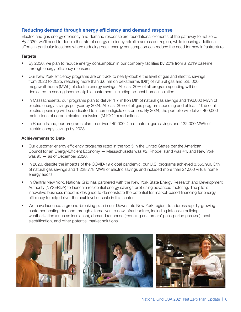# Reducing demand through energy efficiency and demand response

Electric and gas energy efficiency and demand response are foundational elements of the pathway to net zero. By 2030, we'll need to double the rate of energy efficiency retrofits across our region, while focusing additional efforts in particular locations where reducing peak energy consumption can reduce the need for new infrastructure.

## **Targets**

- By 2030, we plan to reduce energy consumption in our company facilities by 20% from a 2019 baseline through energy efficiency measures.
- Our New York efficiency programs are on track to nearly-double the level of gas and electric savings from 2020 to 2025, reaching more than 3.6 million dekatherms (Dth) of natural gas and 525,000 megawatt-hours (MWh) of electric energy savings. At least 20% of all program spending will be dedicated to serving income-eligible customers, including no-cost home insulation.
- In Massachusetts, our programs plan to deliver 1.7 million Dth of natural gas savings and 196,000 MWh of electric energy savings per year by 2024. At least 20% of all gas program spending and at least 10% of all electric spending will be dedicated to income-eligible customers. By 2024, the portfolio will deliver 460,000 metric tons of carbon dioxide equivalent (MTCO2e) reductions.
- In Rhode Island, our programs plan to deliver 440,000 Dth of natural gas savings and 132,000 MWh of electric energy savings by 2023.

## Achievements to Date

- Our customer energy efficiency programs rated in the top 5 in the United States per the American Council for an Energy-Efficient Economy — Massachusetts was #2, Rhode Island was #4, and New York was #5 — as of December 2020.
- In 2020, despite the impacts of the COVID-19 global pandemic, our U.S. programs achieved 3,553,960 Dth of natural gas savings and 1,228,778 MWh of electric savings and included more than 21,000 virtual home energy audits.
- In Central New York, National Grid has partnered with the New York State Energy Research and Development Authority (NYSERDA) to launch a residential energy savings pilot using advanced metering. The pilot's innovative business model is designed to demonstrate the potential for market-based financing for energy efficiency to help deliver the next level of scale in this sector.
- We have launched a ground-breaking plan in our Downstate New York region, to address rapidly-growing customer heating demand through alternatives to new infrastructure, including intensive building weatherization (such as insulation), demand response (reducing customers' peak period gas use), heat electrification, and other potential market solutions.

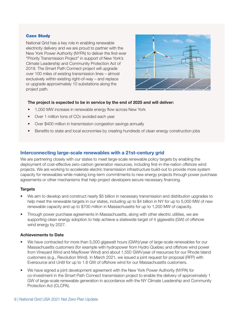# Case Study

National Grid has a key role in enabling renewable electricity delivery and we are proud to partner with the New York Power Authority (NYPA) to deliver the first-ever "Priority Transmission Project" in support of New York's Climate Leadership and Community Protection Act of 2019. The Smart Path Connect project will upgrade over 100 miles of existing transmission lines – almost exclusively within existing right-of-way – and replace or upgrade approximately 10 substations along the project path.



# The project is expected to be in service by the end of 2025 and will deliver:

- 1,000 MW increase in renewable energy flow across New York
- Over 1 million tons of CO2 avoided each year
- Over \$400 million in transmission congestion savings annually
- Benefits to state and local economies by creating hundreds of clean energy construction jobs

# Interconnecting large-scale renewables with a 21st-century grid

We are partnering closely with our states to meet large-scale renewable policy targets by enabling the deployment of cost-effective zero-carbon generation resources, including first-in-the-nation offshore wind projects. We are working to accelerate electric transmission infrastructure build-out to provide more system capacity for renewables while making long-term commitments to new energy projects through power purchase agreements or other mechanisms that help project developers secure necessary financing.

# **Targets**

- We aim to develop and construct nearly \$5 billion in necessary transmission and distribution upgrades to help meet the renewable targets in our states, including up to \$4 billion in NY for up to 5,000 MW of new renewable capacity and up to \$700 million in Massachusetts for up to 1,200 MW of capacity.
- Through power purchase agreements in Massachusetts, along with other electric utilities, we are supporting clean energy adoption to help achieve a statewide target of 4 gigawatts (GW) of offshore wind energy by 2027.

# Achievements to Date

- We have contracted for more than 5,000 gigawatt hours (GWh)/year of large-scale renewables for our Massachusetts customers (for example with hydropower from Hydro Quebec and offshore wind power from Vineyard Wind and Mayflower Wind) and about 1,550 GWh/year of resources for our Rhode Island customers (e.g., Revolution Wind). In March 2021, we issued a joint request for proposal (RFP) with Eversource and Unitil for up to 1.6 GW of offshore wind for our Massachusetts customers.
- We have signed a joint development agreement with the New York Power Authority (NYPA) for co-investment in the Smart Path Connect transmission project to enable the delivery of approximately 1 GW of large-scale renewable generation in accordance with the NY Climate Leadership and Community Protection Act (CLCPA).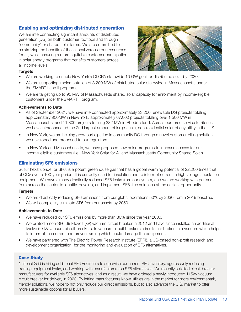# Enabling and optimizing distributed generation

We are interconnecting significant amounts of distributed generation (DG) on both customer rooftops and through "community" or shared solar farms. We are committed to maximizing the benefits of these local zero-carbon resources for all, while ensuring a more equitable customer participation in solar energy programs that benefits customers across all income levels.



#### **Targets**

- We are working to enable New York's CLCPA statewide 10 GW goal for distributed solar by 2030.
- We are supporting implementation of 3,200 MW of distributed solar statewide in Massachusetts under the SMART I and II programs.
- We are targeting up to 95 MW of Massachusetts shared solar capacity for enrollment by income-eligible customers under the SMART II program.

#### Achievements to Date

- As of September 2021, we have interconnected approximately 23,200 renewable DG projects totaling approximately 900MW in New York, approximately 67,000 projects totaling over 1,500 MW in Massachusetts, and 11,800 projects totaling 382 MW in Rhode Island. Across our three service territories, we have interconnected the 2nd largest amount of large-scale, non-residential solar of any utility in the U.S.
- In New York, we are helping grow participation in community DG through a novel customer billing solution we developed and proposed to our regulators.
- In New York and Massachusetts, we have proposed new solar programs to increase access for our income-eligible customers (i.e., New York Solar for All and Massachusetts Community Shared Solar).

# Eliminating SF6 emissions

Sulfur hexafluoride, or SF6, is a potent greenhouse gas that has a global warming potential of 22,200 times that of CO2 over a 100-year period. It is currently used for insulation and to interrupt current in high voltage substation equipment. We have already drastically reduced SF6 leaks from our system, and we are working with partners from across the sector to identify, develop, and implement SF6-free solutions at the earliest opportunity.

#### **Targets**

- We are drastically reducing SF6 emissions from our global operations 50% by 2030 from a 2019 baseline.
- We will completely eliminate SF6 from our assets by 2050.

#### Achievements to Date

- We have reduced our SF6 emissions by more than 80% since the year 2000.
- We piloted a non-SF6 69 kilovolt (kV) vacuum circuit breaker in 2012 and have since installed an additional twelve 69 kV vacuum circuit breakers. In vacuum circuit breakers, circuits are broken in a vacuum which helps to interrupt the current and prevent arcing which could damage the equipment.
- We have partnered with The Electric Power Research Institute (EPRI), a US-based non-profit research and development organization, for the monitoring and evaluation of SF6 alternatives.

#### Case Study

National Grid is hiring additional SF6 Engineers to supervise our current SF6 inventory, aggressively reducing existing equipment leaks, and working with manufacturers on SF6 alternatives. We recently solicited circuit breaker manufacturers for available SF6 alternatives, and as a result, we have ordered a newly introduced 115kV vacuum circuit breaker for delivery in 2023. By letting manufacturers know utilities are in the market for more environmentally friendly solutions, we hope to not only reduce our direct emissions, but to also advance the U.S. market to offer more sustainable options for all buyers.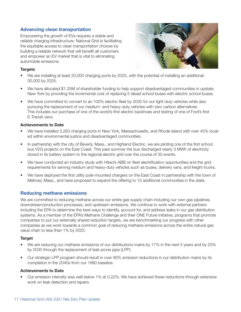# Advancing clean transportation

Empowering the growth of EVs requires a stable and reliable charging infrastructure. National Grid is facilitating the equitable access to clean transportation choices by building a reliable network that will benefit all customers and empower an EV market that is vital to eliminating automobile emissions.



## **Targets**

- We are installing at least 20,000 charging ports by 2025, with the potential of installing an additional 30,000 by 2025.
- We have allocated \$1.25M of shareholder funding to help support disadvantaged communities in upstate New York by providing the incremental cost of replacing 5 diesel school buses with electric school buses.
- We have committed to convert to an 100% electric fleet by 2030 for our light-duty vehicles while also pursuing the replacement of our medium- and heavy-duty vehicles with zero carbon alternatives. This includes our purchase of one of the world's first electric backhoes and testing of one of Ford's first E-Transit vans.

#### Achievements to Date

- We have installed 3,283 charging ports in New York, Massachusetts, and Rhode Island with over 45% located within environmental justice and disadvantaged communities.
- In partnership with the city of Beverly, Mass., and Highland Electric, we are piloting one of the first school bus V2G projects on the East Coast. This past summer the bus discharged nearly 3 MWh of electricity stored in its battery system to the regional electric grid over the course of 30 events.
- We have conducted an industry study with Hitachi ABB on fleet electrification opportunities and the grid requirements for serving medium and heavy-duty vehicles such as buses, delivery vans, and freight trucks.
- We have deployed the first utility pole-mounted chargers on the East Coast in partnership with the town of Melrose, Mass., and have proposed to expand the offering to 10 additional communities in the state.

# Reducing methane emissions

We are committed to reducing methane across our entire gas supply chain including our own gas pipelines, downstream/production processes, and upstream emissions. We continue to work with external partners including the EPA to determine the best ways to identify, account for, and address leaks in our gas distribution systems. As a member of the EPA's Methane Challenge and their ONE Future initiative, programs that promote companies to put out externally shared reduction targets, we are benchmarking our progress with other companies as we work towards a common goal of reducing methane emissions across the entire natural gas value chain to less than 1% by 2025.

#### Target

- We are reducing our methane emissions of our distributions mains by 17% in the next 5 years and by 23% by 2030 through the replacement of leak prone pipe (LPP).
- Our strategic LPP program should result in over 90% emission reductions in our distribution mains by its completion in the 2040s from our 1990 baseline.

#### Achievements to Date

• Our emission intensity was well below 1% at 0.22%. We have achieved these reductions through extensive work on leak detection and repairs.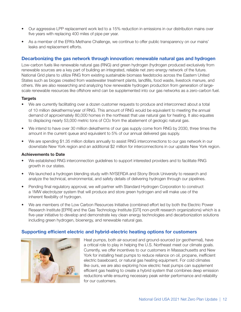- Our aggressive LPP replacement work led to a 15% reduction in emissions in our distribution mains over five years with replacing 400 miles of pipe per year.
- As a member of the EPA's Methane Challenge, we continue to offer public transparency on our mains' leaks and replacement efforts.

# Decarbonizing the gas network through innovation: renewable natural gas and hydrogen

Low-carbon fuels like renewable natural gas (RNG) and green hydrogen (hydrogen produced exclusively from renewable sources are a key part of building an integrated, reliable net zero energy network of the future. National Grid plans to utilize RNG from existing sustainable biomass feedstocks across the Eastern United States such as biogas created from wastewater treatment plants, landfills, food waste, livestock manure, and others. We are also researching and analyzing how renewable hydrogen production from generation of largescale renewable resources like offshore wind can be supplemented into our gas networks as a zero-carbon fuel.

#### **Targets**

- We are currently facilitating over a dozen customer requests to produce and interconnect about a total of 10 million dekatherms/year of RNG. This amount of RNG would be equivalent to meeting the annual demand of approximately 80,000 homes in the northeast that use natural gas for heating. It also equates to displacing nearly 53,000 metric tons of CO2 from the abatement of geologic natural gas.
- We intend to have over 30 million dekatherms of our gas supply come from RNG by 2030, three times the amount in the current queue and equivalent to 5% of our annual delivered gas supply.
- We are spending \$1.35 million dollars annually to assist RNG interconnections to our gas network in our downstate New York region and an additional \$2 million for interconnections in our upstate New York region.

#### Achievements to Date

- We established RNG interconnection guidelines to support interested providers and to facilitate RNG growth in our states.
- We launched a hydrogen blending study with NYSERDA and Stony Brook University to research and analyze the technical, environmental, and safety details of delivering hydrogen through our pipelines.
- Pending final regulatory approval, we will partner with Standard Hydrogen Corporation to construct a 1MW electrolyzer system that will produce and store green hydrogen and will make use of the inherent flexibility of hydrogen.
- We are members of the Low Carbon Resources Initiative (combined effort led by both the Electric Power Research Institute [EPRI] and the Gas Technology Institute [GTI] non-profit research organizations) which is a five-year initiative to develop and demonstrate key clean energy technologies and decarbonization solutions including green hydrogen, bioenergy, and renewable natural gas.

# Supporting efficient electric and hybrid-electric heating options for customers



Heat pumps, both air-sourced and ground-sourced (or geothermal), have a critical role to play in helping the U.S. Northeast meet our climate goals. Currently, we offer incentives to our customers in Massachusetts and New York for installing heat pumps to reduce reliance on oil, propane, inefficient electric baseboard, or natural gas heating equipment. For cold climates like ours, we are also exploring how electric heat pumps can supplement efficient gas heating to create a hybrid system that combines deep emission reductions while ensuring necessary peak winter performance and reliability for our customers.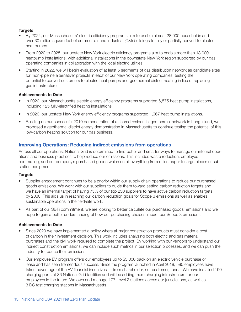# **Targets**

- By 2024, our Massachusetts' electric efficiency programs aim to enable almost 28,000 households and over 30 million square feet of commercial and industrial (C&I) buildings to fully or partially convert to electric heat pumps.
- From 2020 to 2025, our upstate New York electric efficiency programs aim to enable more than 18,000 heatpump installations, with additional installations in the downstate New York region supported by our gas operating companies in collaboration with the local electric utilities.
- Starting in 2022, we will begin evaluation of at least 5 segments of gas distribution network as candidate sites for 'non-pipeline alternative' projects in each of our New York operating companies, testing the potential to convert customers to electric heat pumps and geothermal district heating in lieu of replacing gas infrastructure.

# Achievements to Date

- In 2020, our Massachusetts electric energy efficiency programs supported 6,575 heat pump installations, including 125 fully-electrified heating installations.
- In 2020, our upstate New York energy efficiency programs supported 1,967 heat pump installations.
- Building on our successful 2019 demonstration of a shared residential geothermal network in Long Island, we proposed a geothermal district energy demonstration in Massachusetts to continue testing the potential of this low-carbon heating solution for our gas business.

# Improving Operations: Reducing indirect emissions from operations

Across all our operations, National Grid is determined to find better and smarter ways to manage our internal operations and business practices to help reduce our emissions. This includes waste reduction, employee commuting, and our company's purchased goods which entail everything from office paper to large pieces of substation equipment.

# **Targets**

- Supplier engagement continues to be a priority within our supply chain operations to reduce our purchased goods emissions. We work with our suppliers to guide them toward setting carbon reduction targets and we have an internal target of having 75% of our top 250 suppliers to have active carbon reduction targets by 2030. This aids us in reaching our carbon reduction goals for Scope 3 emissions as well as enables sustainable operations in the field/site work.
- As part of our SBTi commitment, we are looking to better calculate our purchased goods' emissions and we hope to gain a better understanding of how our purchasing choices impact our Scope 3 emissions.

# Achievements to Date

- Since 2020 we have implemented a policy where all major construction products must consider a cost of carbon in their investment decision. This work includes analyzing both electric and gas material purchases and the civil work required to complete the project. By working with our vendors to understand our indirect construction emissions, we can include such metrics in our selection processes, and we can push the industry to reduce their emissions.
- Our employee EV program offers our employees up to \$5,000 back on an electric vehicle purchase or lease and has seen tremendous success. Since the program launched in April 2018, 585 employees have taken advantage of the EV financial incentives — from shareholder, not customer, funds. We have installed 190 charging ports at 36 National Grid facilities and will be adding more charging infrastructure for our employees in the future. We own and manage 177 Level 2 stations across our jurisdictions, as well as 3 DC fast charging stations in Massachusetts.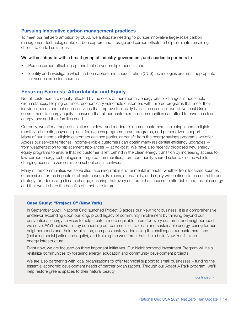# Pursuing innovative carbon management practices

To meet our net zero ambition by 2050, we anticipate needing to pursue innovative large-scale carbon management technologies like carbon capture and storage and carbon offsets to help eliminate remaining, difficult to curtail emissions.

#### We will collaborate with a broad group of industry, government, and academic partners to

- Pursue carbon offsetting options that deliver multiple benefits and;
- Identify and investigate which carbon capture and sequestration (CCS) technologies are most appropriate for various emission sources.

# Ensuring Fairness, Affordability, and Equity

Not all customers are equally affected by the costs of their monthly energy bills or changes in household circumstances. Helping our most economically vulnerable customers with tailored programs that meet their individual needs and enhanced services that improve their daily lives is an essential part of National Grid's commitment to energy equity – ensuring that all our customers and communities can afford to have the clean energy they and their families need.

Currently, we offer a range of solutions for low- and moderate-income customers, including income-eligible monthly bill credits, payment plans, forgiveness programs, grant programs, and personalized support. Many of our income-eligible customers can see particular benefit from the energy savings programs we offer. Across our service territories, income-eligible customers can obtain many residential efficiency upgrades from weatherization to replacement appliances — at no-cost. We have also recently proposed new energy equity programs to ensure that no customer is left behind in the clean energy transition by increasing access to low-carbon energy technologies in targeted communities, from community-shared solar to electric vehicle charging access to zero-emission school bus incentives.

Many of the communities we serve also face inequitable environmental impacts, whether from localized sources of emissions, or the impacts of climate change. Fairness, affordability, and equity will continue to be central to our strategy for addressing climate change, ensuring that every customer has access to affordable and reliable energy, and that we all share the benefits of a net zero future.

#### Case Study: "Project C" (New York)

In September 2021, National Grid launched Project C across our New York business. It is a comprehensive endeavor expanding upon our long, proud legacy of community involvement by thinking beyond our conventional energy services to help create a more equitable future for every customer and neighborhood we serve. We'll achieve this by connecting our communities to clean and sustainable energy, caring for our neighborhoods and their revitalization, compassionately addressing the challenges our customers face (including social justice and equity), and training the workforce that'll help build New York's clean energy infrastructure.

Right now, we are focused on three important initiatives. Our Neighborhood Investment Program will help revitalize communities by fostering energy, education and community development projects.

We are also partnering with local organizations to offer technical support to small businesses – funding the essential economic development needs of partner organizations. Through our Adopt A Park program, we'll help restore greens spaces to their natural beauty.

continued >